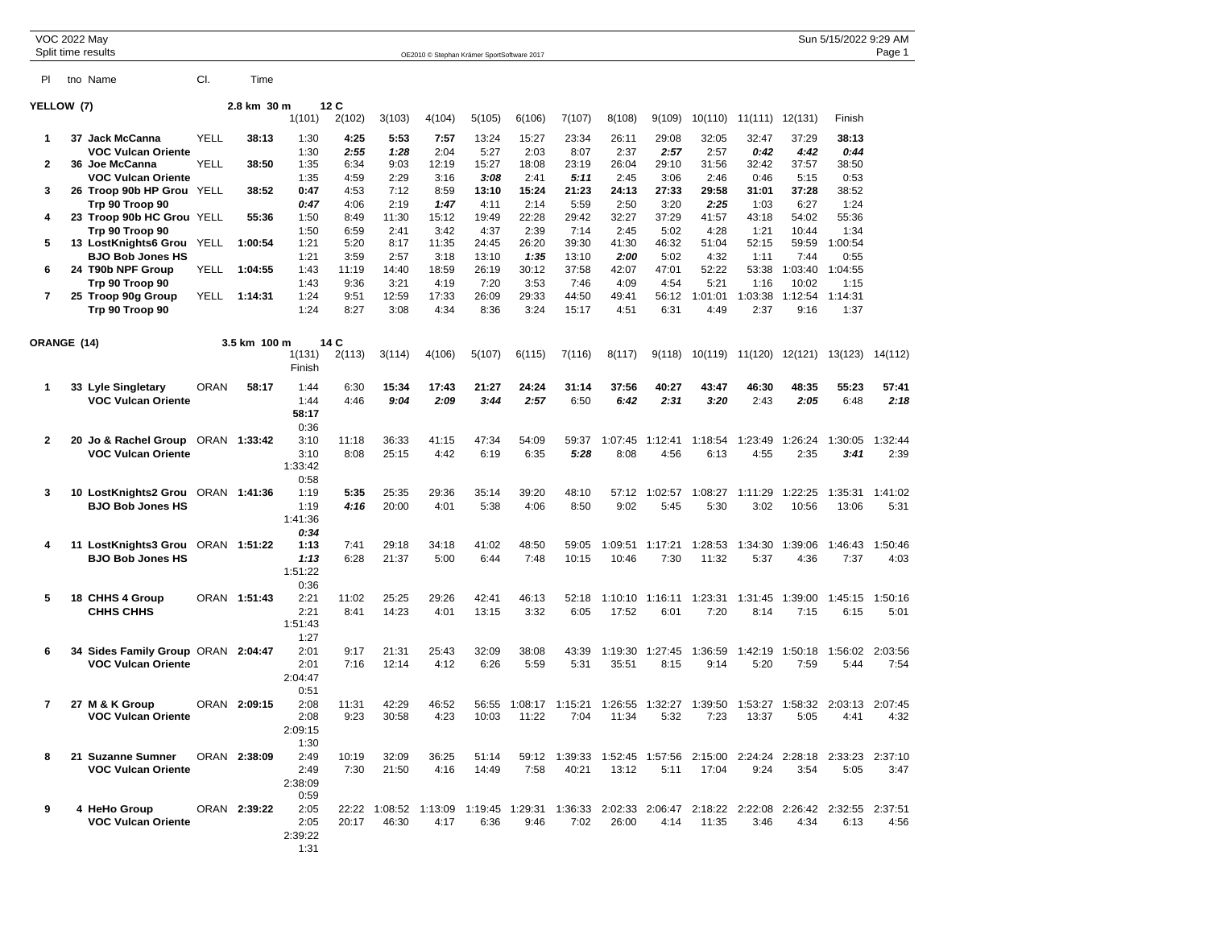| VOC 2022 May   | Split time results                                              |             |              |                  |              |                |                                            |               |               |                                                                                                       |                  |                 |                 |                 |                 | Sun 5/15/2022 9:29 AM | Page 1          |
|----------------|-----------------------------------------------------------------|-------------|--------------|------------------|--------------|----------------|--------------------------------------------|---------------|---------------|-------------------------------------------------------------------------------------------------------|------------------|-----------------|-----------------|-----------------|-----------------|-----------------------|-----------------|
|                |                                                                 |             |              |                  |              |                | OE2010 © Stephan Krämer SportSoftware 2017 |               |               |                                                                                                       |                  |                 |                 |                 |                 |                       |                 |
| PI.            | tno Name                                                        | CI.         | Time         |                  |              |                |                                            |               |               |                                                                                                       |                  |                 |                 |                 |                 |                       |                 |
| YELLOW (7)     |                                                                 |             | 2.8 km 30 m  |                  | 12C          |                |                                            |               |               |                                                                                                       |                  |                 |                 |                 |                 |                       |                 |
|                |                                                                 |             |              | 1(101)           | 2(102)       | 3(103)         | 4(104)                                     | 5(105)        | 6(106)        | 7(107)                                                                                                | 8(108)           | 9(109)          | 10(110)         | 11(111) 12(131) |                 | Finish                |                 |
| 1              | 37 Jack McCanna                                                 | <b>YELL</b> | 38:13        | 1:30             | 4:25         | 5:53           | 7:57                                       | 13:24         | 15:27         | 23:34                                                                                                 | 26:11            | 29:08           | 32:05           | 32:47           | 37:29           | 38:13                 |                 |
|                | <b>VOC Vulcan Oriente</b>                                       |             |              | 1:30             | 2:55         | 1:28           | 2:04                                       | 5:27          | 2:03          | 8:07                                                                                                  | 2:37             | 2:57            | 2:57            | 0:42            | 4:42            | 0:44                  |                 |
| 2              | 36 Joe McCanna                                                  | YELL        | 38:50        | 1:35             | 6:34         | 9:03           | 12:19                                      | 15:27         | 18:08         | 23:19                                                                                                 | 26:04            | 29:10           | 31:56           | 32:42           | 37:57           | 38:50                 |                 |
|                | VOC Vulcan Oriente                                              |             |              | 1:35             | 4:59         | 2:29           | 3:16                                       | 3:08          | 2:41          | 5:11                                                                                                  | 2:45             | 3:06            | 2:46            | 0:46            | 5:15            | 0:53                  |                 |
| 3              | 26 Troop 90b HP Grou YELL                                       |             | 38:52        | 0:47             | 4:53         | 7:12           | 8:59                                       | 13:10         | 15:24         | 21:23                                                                                                 | 24:13            | 27:33           | 29:58           | 31:01           | 37:28           | 38:52                 |                 |
|                | Trp 90 Troop 90                                                 |             |              | 0:47             | 4:06         | 2:19           | 1:47                                       | 4:11          | 2:14          | 5:59                                                                                                  | 2:50             | 3:20            | 2:25            | 1:03            | 6:27            | 1:24                  |                 |
| 4              | 23 Troop 90b HC Grou YELL                                       |             | 55:36        | 1:50             | 8:49         | 11:30          | 15:12                                      | 19:49         | 22:28         | 29:42                                                                                                 | 32:27            | 37:29           | 41:57           | 43:18           | 54:02           | 55:36                 |                 |
|                | Trp 90 Troop 90                                                 |             |              | 1:50             | 6:59         | 2:41           | 3:42                                       | 4:37          | 2:39          | 7:14                                                                                                  | 2:45             | 5:02            | 4:28            | 1:21            | 10:44           | 1:34                  |                 |
| 5              | 13 LostKnights6 Grou YELL                                       |             | 1:00:54      | 1:21             | 5:20         | 8:17           | 11:35                                      | 24:45         | 26:20         | 39:30                                                                                                 | 41:30            | 46:32           | 51:04           | 52:15           | 59:59           | 1:00:54               |                 |
|                | <b>BJO Bob Jones HS</b>                                         |             |              | 1:21             | 3:59         | 2:57           | 3:18                                       | 13:10         | 1:35          | 13:10                                                                                                 | 2:00             | 5:02            | 4:32            | 1:11            | 7:44            | 0:55                  |                 |
| 6              | 24 T90b NPF Group                                               | YELL        | 1:04:55      | 1:43             | 11:19        | 14:40          | 18:59                                      | 26:19         | 30:12         | 37:58                                                                                                 | 42:07            | 47:01           | 52:22           | 53:38           | 1:03:40         | 1:04:55               |                 |
|                | Trp 90 Troop 90                                                 |             |              | 1:43             | 9:36         | 3:21           | 4:19                                       | 7:20          | 3:53          | 7:46                                                                                                  | 4:09             | 4:54            | 5:21            | 1:16            | 10:02           | 1:15                  |                 |
| $\overline{7}$ | 25 Troop 90g Group                                              | YELL        | 1:14:31      | 1:24             | 9:51         | 12:59          | 17:33                                      | 26:09         | 29:33         | 44:50                                                                                                 | 49:41            | 56:12           | 1:01:01         | 1:03:38         | 1:12:54         | 1:14:31               |                 |
|                | Trp 90 Troop 90                                                 |             |              | 1:24             | 8:27         | 3:08           | 4:34                                       | 8:36          | 3:24          | 15:17                                                                                                 | 4:51             | 6:31            | 4:49            | 2:37            | 9:16            | 1:37                  |                 |
| ORANGE (14)    |                                                                 |             | 3.5 km 100 m |                  | 14 C         |                |                                            |               |               |                                                                                                       |                  |                 |                 |                 |                 |                       |                 |
|                |                                                                 |             |              | 1(131)<br>Finish | 2(113)       | 3(114)         | 4(106)                                     | 5(107)        | 6(115)        | 7(116)                                                                                                | 8(117)           | 9(118)          | 10(119) 11(120) |                 | 12(121)         | 13(123)               | 14(112)         |
|                |                                                                 |             |              |                  |              |                |                                            |               |               |                                                                                                       |                  |                 |                 |                 |                 |                       |                 |
| 1              | 33 Lyle Singletary                                              | <b>ORAN</b> | 58:17        | 1:44             | 6:30         | 15:34          | 17:43                                      | 21:27         | 24:24         | 31:14                                                                                                 | 37:56            | 40:27           | 43:47           | 46:30           | 48:35           | 55:23                 | 57:41           |
|                | <b>VOC Vulcan Oriente</b>                                       |             |              | 1:44             | 4:46         | 9:04           | 2:09                                       | 3:44          | 2:57          | 6:50                                                                                                  | 6:42             | 2:31            | 3:20            | 2:43            | 2:05            | 6:48                  | 2:18            |
|                |                                                                 |             |              | 58:17            |              |                |                                            |               |               |                                                                                                       |                  |                 |                 |                 |                 |                       |                 |
| 2              |                                                                 |             |              | 0:36<br>3:10     | 11:18        | 36:33          | 41:15                                      | 47:34         | 54:09         | 59:37                                                                                                 | 1:07:45          | 1:12:41         | 1:18:54         | 1:23:49         | 1:26:24         | 1:30:05               | 1:32:44         |
|                | 20 Jo & Rachel Group ORAN 1:33:42<br><b>VOC Vulcan Oriente</b>  |             |              | 3:10             | 8:08         | 25:15          | 4:42                                       | 6:19          | 6:35          | 5:28                                                                                                  | 8:08             | 4:56            | 6:13            | 4:55            | 2:35            | 3:41                  | 2:39            |
|                |                                                                 |             |              | 1:33:42          |              |                |                                            |               |               |                                                                                                       |                  |                 |                 |                 |                 |                       |                 |
|                |                                                                 |             |              | 0:58             |              |                |                                            |               |               |                                                                                                       |                  |                 |                 |                 |                 |                       |                 |
| 3              | 10 LostKnights2 Grou ORAN 1:41:36                               |             |              | 1:19             | 5:35         | 25:35          | 29:36                                      | 35:14         | 39:20         | 48:10                                                                                                 | 57:12            | 1:02:57         | 1:08:27         | 1:11:29         | 1:22:25         | 1:35:31               | 1:41:02         |
|                | <b>BJO Bob Jones HS</b>                                         |             |              | 1:19             | 4:16         | 20:00          | 4:01                                       | 5:38          | 4:06          | 8:50                                                                                                  | 9:02             | 5:45            | 5:30            | 3:02            | 10:56           | 13:06                 | 5:31            |
|                |                                                                 |             |              | 1:41:36          |              |                |                                            |               |               |                                                                                                       |                  |                 |                 |                 |                 |                       |                 |
|                |                                                                 |             |              | 0:34             |              |                |                                            |               |               |                                                                                                       |                  |                 |                 |                 |                 |                       |                 |
| 4              | 11 LostKnights3 Grou ORAN 1:51:22                               |             |              | 1:13             | 7:41         | 29:18          | 34:18                                      | 41:02         | 48:50         | 59:05                                                                                                 | 1:09:51          | 1:17:21         | 1:28:53         | 1:34:30         | 1:39:06         | 1:46:43               | 1:50:46         |
|                | <b>BJO Bob Jones HS</b>                                         |             |              | 1:13             | 6:28         | 21:37          | 5:00                                       | 6:44          | 7:48          | 10:15                                                                                                 | 10:46            | 7:30            | 11:32           | 5:37            | 4:36            | 7:37                  | 4:03            |
|                |                                                                 |             |              | 1:51:22          |              |                |                                            |               |               |                                                                                                       |                  |                 |                 |                 |                 |                       |                 |
|                |                                                                 |             |              | 0:36             |              |                |                                            |               |               |                                                                                                       |                  |                 |                 |                 |                 |                       |                 |
| 5              | 18 CHHS 4 Group                                                 |             | ORAN 1:51:43 | 2:21             | 11:02        | 25:25          | 29:26                                      | 42:41         | 46:13         | 52:18                                                                                                 | 1:10:10          | 1:16:11         | 1:23:31         | 1:31:45         | 1:39:00         | 1:45:15               | 1:50:16         |
|                | CHHS CHHS                                                       |             |              | 2:21             | 8:41         | 14:23          | 4:01                                       | 13:15         | 3:32          | 6:05                                                                                                  | 17:52            | 6:01            | 7:20            | 8:14            | 7:15            | 6:15                  | 5:01            |
|                |                                                                 |             |              | 1:51:43          |              |                |                                            |               |               |                                                                                                       |                  |                 |                 |                 |                 |                       |                 |
|                |                                                                 |             |              | 1:27             |              |                |                                            |               |               |                                                                                                       |                  |                 |                 |                 |                 |                       |                 |
| 6              | 34 Sides Family Group ORAN 2:04:47<br><b>VOC Vulcan Oriente</b> |             |              | 2:01<br>2:01     | 9:17<br>7:16 | 21:31<br>12:14 | 25:43<br>4:12                              | 32:09<br>6:26 | 38:08<br>5:59 | 43:39<br>5:31                                                                                         | 1:19:30<br>35:51 | 1:27:45<br>8:15 | 1:36:59<br>9:14 | 1:42:19<br>5:20 | 1:50:18<br>7:59 | 1:56:02<br>5:44       | 2:03:56<br>7:54 |
|                |                                                                 |             |              | 2:04:47          |              |                |                                            |               |               |                                                                                                       |                  |                 |                 |                 |                 |                       |                 |
|                |                                                                 |             |              | 0:51             |              |                |                                            |               |               |                                                                                                       |                  |                 |                 |                 |                 |                       |                 |
| 7              | 27 M & K Group                                                  |             | ORAN 2:09:15 | 2:08             | 11:31        | 42:29          | 46:52                                      | 56:55         |               | 1:08:17 1:15:21 1:26:55 1:32:27 1:39:50 1:53:27 1:58:32 2:03:13 2:07:45                               |                  |                 |                 |                 |                 |                       |                 |
|                | <b>VOC Vulcan Oriente</b>                                       |             |              | 2:08             | 9:23         | 30:58          | 4:23                                       | 10:03         | 11:22         | 7:04                                                                                                  | 11:34            | 5:32            | 7:23            | 13:37           | 5:05            |                       |                 |
|                |                                                                 |             |              | 2:09:15          |              |                |                                            |               |               |                                                                                                       |                  |                 |                 |                 |                 |                       |                 |
|                |                                                                 |             |              | 1:30             |              |                |                                            |               |               |                                                                                                       |                  |                 |                 |                 |                 |                       |                 |
| 8              | 21 Suzanne Sumner                                               |             | ORAN 2:38:09 | 2:49             | 10:19        | 32:09          | 36:25                                      | 51:14         |               | 59:12 1:39:33 1:52:45 1:57:56 2:15:00 2:24:24 2:28:18 2:33:23 2:37:10                                 |                  |                 |                 |                 |                 |                       |                 |
|                | <b>VOC Vulcan Oriente</b>                                       |             |              | 2:49             | 7:30         | 21:50          | 4:16                                       | 14:49         | 7:58          | 40:21                                                                                                 | 13:12            | 5:11            | 17:04           | 9:24            | 3:54            | 5:05                  | 3:47            |
|                |                                                                 |             |              | 2:38:09          |              |                |                                            |               |               |                                                                                                       |                  |                 |                 |                 |                 |                       |                 |
|                |                                                                 |             |              | 0:59             |              |                |                                            |               |               |                                                                                                       |                  |                 |                 |                 |                 |                       |                 |
| 9              | 4 HeHo Group                                                    |             | ORAN 2:39:22 | 2:05             |              |                |                                            |               |               | 22:22 1:08:52 1:13:09 1:19:45 1:29:31 1:36:33 2:02:33 2:06:47 2:18:22 2:22:08 2:26:42 2:32:55 2:37:51 |                  |                 |                 |                 |                 |                       |                 |
|                | <b>VOC Vulcan Oriente</b>                                       |             |              | 2:05             | 20:17        | 46:30          | 4:17                                       | 6:36          | 9:46          | 7:02                                                                                                  | 26:00            | 4:14            | 11:35           | 3:46            | 4:34            | 6:13                  | 4:56            |
|                |                                                                 |             |              | 2:39:22          |              |                |                                            |               |               |                                                                                                       |                  |                 |                 |                 |                 |                       |                 |
|                |                                                                 |             |              | 1:31             |              |                |                                            |               |               |                                                                                                       |                  |                 |                 |                 |                 |                       |                 |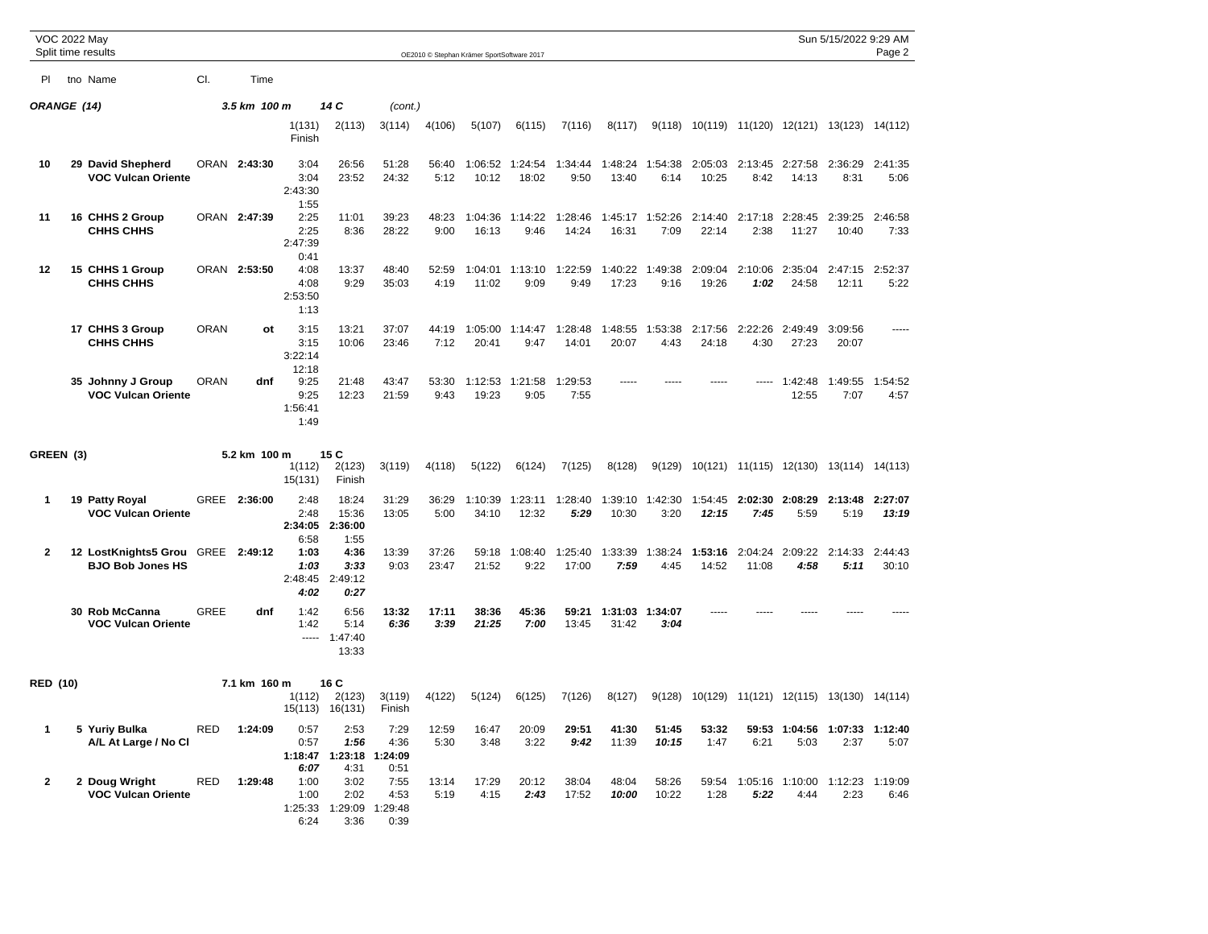| <b>VOC 2022 May</b> | Split time results                                   |             |              |                                  |                                   |                                      |                | OE2010 © Stephan Krämer SportSoftware 2017 |                  |                  |                  |                         |                  |                                 |                       | Sun 5/15/2022 9:29 AM | Page 2           |
|---------------------|------------------------------------------------------|-------------|--------------|----------------------------------|-----------------------------------|--------------------------------------|----------------|--------------------------------------------|------------------|------------------|------------------|-------------------------|------------------|---------------------------------|-----------------------|-----------------------|------------------|
|                     |                                                      |             |              |                                  |                                   |                                      |                |                                            |                  |                  |                  |                         |                  |                                 |                       |                       |                  |
| PI.                 | tno Name                                             | CI.         | Time         |                                  |                                   |                                      |                |                                            |                  |                  |                  |                         |                  |                                 |                       |                       |                  |
| ORANGE (14)         |                                                      |             | 3.5 km 100 m |                                  | 14 C                              | (cont.)                              |                |                                            |                  |                  |                  |                         |                  |                                 |                       |                       |                  |
|                     |                                                      |             |              | 1(131)<br>Finish                 | 2(113)                            | 3(114)                               | 4(106)         | 5(107)                                     | 6(115)           | 7(116)           | 8(117)           | 9(118)                  | 10(119)          | 11(120)                         | 12(121)               | 13(123)               | 14(112)          |
| 10                  | 29 David Shepherd<br><b>VOC Vulcan Oriente</b>       |             | ORAN 2:43:30 | 3:04<br>3:04<br>2:43:30<br>1:55  | 26:56<br>23:52                    | 51:28<br>24:32                       | 56:40<br>5:12  | 1:06:52<br>10:12                           | 1:24:54<br>18:02 | 1:34:44<br>9:50  | 1:48:24<br>13:40 | 1:54:38<br>6:14         | 2:05:03<br>10:25 | 2:13:45 2:27:58<br>8:42         | 14:13                 | 2:36:29<br>8:31       | 2:41:35<br>5:06  |
| 11                  | 16 CHHS 2 Group<br><b>CHHS CHHS</b>                  |             | ORAN 2:47:39 | 2:25<br>2:25<br>2:47:39<br>0:41  | 11:01<br>8:36                     | 39:23<br>28:22                       | 48:23<br>9:00  | 1:04:36<br>16:13                           | 1:14:22<br>9:46  | 1:28:46<br>14:24 | 16:31            | 1:45:17 1:52:26<br>7:09 | 2:14:40<br>22:14 | 2:17:18 2:28:45<br>2:38         | 11:27                 | 2:39:25<br>10:40      | 2:46:58<br>7:33  |
| 12                  | 15 CHHS 1 Group<br><b>CHHS CHHS</b>                  |             | ORAN 2:53:50 | 4:08<br>4:08<br>2:53:50<br>1:13  | 13:37<br>9:29                     | 48:40<br>35:03                       | 52:59<br>4:19  | 1:04:01<br>11:02                           | 1:13:10<br>9:09  | 1:22:59<br>9:49  | 1:40:22<br>17:23 | 1:49:38<br>9:16         | 2:09:04<br>19:26 | 2:10:06<br>1:02                 | 2:35:04<br>24:58      | 2:47:15<br>12:11      | 2:52:37<br>5:22  |
|                     | 17 CHHS 3 Group<br><b>CHHS CHHS</b>                  | <b>ORAN</b> | ot           | 3:15<br>3:15<br>3:22:14<br>12:18 | 13:21<br>10:06                    | 37:07<br>23:46                       | 44:19<br>7:12  | 1:05:00<br>20:41                           | 1:14:47<br>9:47  | 1:28:48<br>14:01 | 1:48:55<br>20:07 | 1:53:38<br>4:43         | 2:17:56<br>24:18 | 2:22:26<br>4:30                 | 2:49:49<br>27:23      | 3:09:56<br>20:07      |                  |
|                     | 35 Johnny J Group<br><b>VOC Vulcan Oriente</b>       | <b>ORAN</b> | dnf          | 9:25<br>9:25<br>1:56:41<br>1:49  | 21:48<br>12:23                    | 43:47<br>21:59                       | 53:30<br>9:43  | 1:12:53<br>19:23                           | 1:21:58<br>9:05  | 1:29:53<br>7:55  |                  |                         |                  |                                 | 1:42:48<br>12:55      | 1:49:55<br>7:07       | 1:54:52<br>4:57  |
| GREEN (3)           |                                                      |             | 5.2 km 100 m | 1(112)<br>15(131)                | 15 C<br>2(123)<br>Finish          | 3(119)                               | 4(118)         | 5(122)                                     | 6(124)           | 7(125)           | 8(128)           | 9(129)                  | 10(121)          | 11(115)                         | 12(130)               | 13(114)               | 14(113)          |
| 1                   | 19 Patty Royal<br><b>VOC Vulcan Oriente</b>          | GREE        | 2:36:00      | 2:48<br>2:48<br>2:34:05<br>6:58  | 18:24<br>15:36<br>2:36:00<br>1:55 | 31:29<br>13:05                       | 36:29<br>5:00  | 1:10:39<br>34:10                           | 1:23:11<br>12:32 | 1:28:40<br>5:29  | 1:39:10<br>10:30 | 1:42:30<br>3:20         | 1:54:45<br>12:15 | 2:02:30<br>7:45                 | 2:08:29<br>5:59       | 2:13:48<br>5:19       | 2:27:07<br>13:19 |
| $\mathbf{2}$        | 12 LostKnights5 Grou GREE<br><b>BJO Bob Jones HS</b> |             | 2:49:12      | 1:03<br>1:03<br>2:48:45<br>4:02  | 4:36<br>3:33<br>2:49:12<br>0:27   | 13:39<br>9:03                        | 37:26<br>23:47 | 59:18<br>21:52                             | 1:08:40<br>9:22  | 1:25:40<br>17:00 | 1:33:39<br>7:59  | 1:38:24<br>4:45         | 1:53:16<br>14:52 | 2:04:24<br>11:08                | 2:09:22<br>4:58       | 2:14:33<br>5:11       | 2:44:43<br>30:10 |
|                     | 30 Rob McCanna<br><b>VOC Vulcan Oriente</b>          | <b>GREE</b> | dnf          | 1:42<br>1:42<br>$\cdots$         | 6:56<br>5:14<br>1:47:40<br>13:33  | 13:32<br>6:36                        | 17:11<br>3:39  | 38:36<br>21:25                             | 45:36<br>7:00    | 59:21<br>13:45   | 1:31:03<br>31:42 | 1:34:07<br>3:04         |                  |                                 |                       |                       |                  |
| <b>RED (10)</b>     |                                                      |             | 7.1 km 160 m | 1(112)<br>15(113)                | 16 C<br>2(123)<br>16(131)         | 3(119)<br>Finish                     | 4(122)         | 5(124)                                     | 6(125)           | 7(126)           | 8(127)           | 9(128)                  |                  | 10(129) 11(121) 12(115) 13(130) |                       |                       | 14(114)          |
| $\mathbf{1}$        | 5 Yuriy Bulka<br>A/L At Large / No Cl                | <b>RED</b>  | 1:24:09      | 0:57<br>0:57<br>1:18:47<br>6:07  | 2:53<br>1:56<br>1:23:18<br>4:31   | 7:29<br>4:36<br>:24:09<br>0:51       | 12:59<br>5:30  | 16:47<br>3:48                              | 20:09<br>3:22    | 29:51<br>9:42    | 41:30<br>11:39   | 51:45<br>10:15          | 53:32<br>1:47    | 6:21                            | 59:53 1:04:56<br>5:03 | 1:07:33<br>2:37       | 1:12:40<br>5:07  |
| $\mathbf{2}$        | 2 Doug Wright<br><b>VOC Vulcan Oriente</b>           | RED         | 1:29:48      | 1:00<br>1:00<br>1:25:33<br>6:24  | 3:02<br>2:02<br>1:29:09<br>3:36   | 7:55<br>4:53<br>:29:48<br>-1<br>0:39 | 13:14<br>5:19  | 17:29<br>4:15                              | 20:12<br>2:43    | 38:04<br>17:52   | 48:04<br>10:00   | 58:26<br>10:22          | 59:54<br>1:28    | 1:05:16<br>5:22                 | 1:10:00<br>4:44       | 1:12:23<br>2:23       | 1:19:09<br>6:46  |